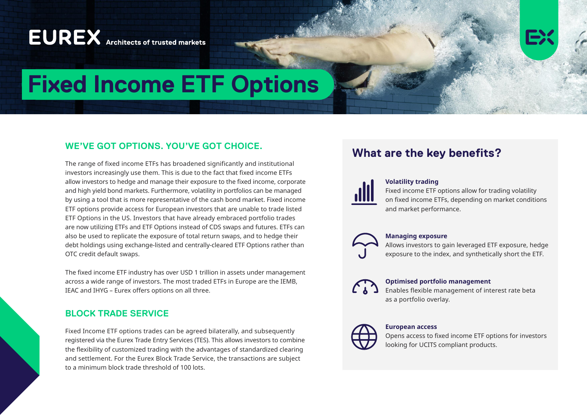# **EUREX** Architects of trusted markets



# **Fixed Income ETF Options**

# **WE'VE GOT OPTIONS. YOU'VE GOT CHOICE.**

The range of fixed income ETFs has broadened significantly and institutional investors increasingly use them. This is due to the fact that fixed income ETFs allow investors to hedge and manage their exposure to the fixed income, corporate and high yield bond markets. Furthermore, volatility in portfolios can be managed by using a tool that is more representative of the cash bond market. Fixed income ETF options provide access for European investors that are unable to trade listed ETF Options in the US. Investors that have already embraced portfolio trades are now utilizing ETFs and ETF Options instead of CDS swaps and futures. ETFs can also be used to replicate the exposure of total return swaps, and to hedge their debt holdings using exchange-listed and centrally-cleared ETF Options rather than OTC credit default swaps.

The fixed income ETF industry has over USD 1 trillion in assets under management across a wide range of investors. The most traded ETFs in Europe are the IEMB, IEAC and IHYG – Eurex offers options on all three.

# **BLOCK TRADE SERVICE**

Fixed Income ETF options trades can be agreed bilaterally, and subsequently registered via the Eurex Trade Entry Services (TES). This allows investors to combine the flexibility of customized trading with the advantages of standardized clearing and settlement. For the Eurex Block Trade Service, the transactions are subject to a minimum block trade threshold of 100 lots.

# **What are the key benefits?**

### **Volatility trading**

Fixed income ETF options allow for trading volatility on fixed income ETFs, depending on market conditions and market performance.

### **Managing exposure**

Allows investors to gain leveraged ETF exposure, hedge exposure to the index, and synthetically short the ETF.



## **Optimised portfolio management**

Enables flexible management of interest rate beta as a portfolio overlay.



### **European access**

Opens access to fixed income ETF options for investors looking for UCITS compliant products.